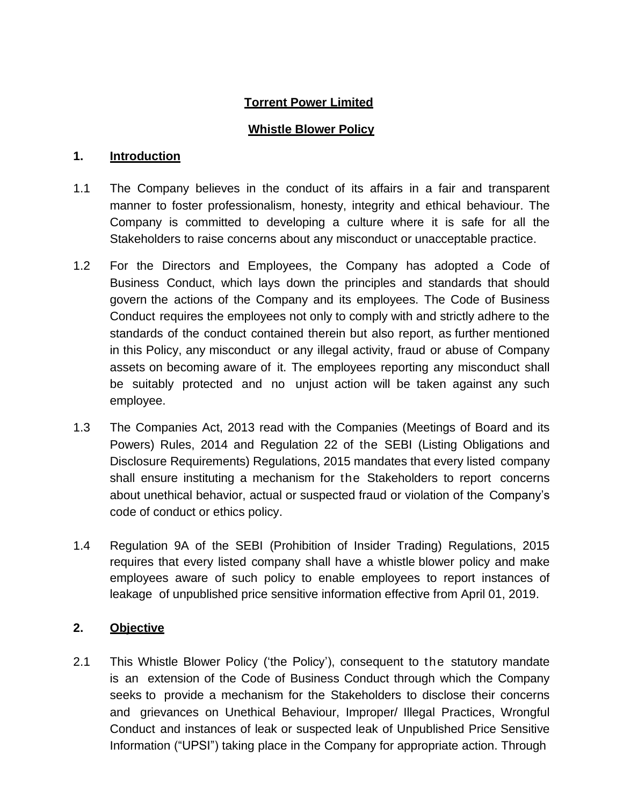# **Torrent Power Limited**

# **Whistle Blower Policy**

### **1. Introduction**

- 1.1 The Company believes in the conduct of its affairs in a fair and transparent manner to foster professionalism, honesty, integrity and ethical behaviour. The Company is committed to developing a culture where it is safe for all the Stakeholders to raise concerns about any misconduct or unacceptable practice.
- 1.2 For the Directors and Employees, the Company has adopted a Code of Business Conduct, which lays down the principles and standards that should govern the actions of the Company and its employees. The Code of Business Conduct requires the employees not only to comply with and strictly adhere to the standards of the conduct contained therein but also report, as further mentioned in this Policy, any misconduct or any illegal activity, fraud or abuse of Company assets on becoming aware of it. The employees reporting any misconduct shall be suitably protected and no unjust action will be taken against any such employee.
- 1.3 The Companies Act, 2013 read with the Companies (Meetings of Board and its Powers) Rules, 2014 and Regulation 22 of the SEBI (Listing Obligations and Disclosure Requirements) Regulations, 2015 mandates that every listed company shall ensure instituting a mechanism for the Stakeholders to report concerns about unethical behavior, actual or suspected fraud or violation of the Company's code of conduct or ethics policy.
- 1.4 Regulation 9A of the SEBI (Prohibition of Insider Trading) Regulations, 2015 requires that every listed company shall have a whistle blower policy and make employees aware of such policy to enable employees to report instances of leakage of unpublished price sensitive information effective from April 01, 2019.

## **2. Objective**

2.1 This Whistle Blower Policy ('the Policy'), consequent to the statutory mandate is an extension of the Code of Business Conduct through which the Company seeks to provide a mechanism for the Stakeholders to disclose their concerns and grievances on Unethical Behaviour, Improper/ Illegal Practices, Wrongful Conduct and instances of leak or suspected leak of Unpublished Price Sensitive Information ("UPSI") taking place in the Company for appropriate action. Through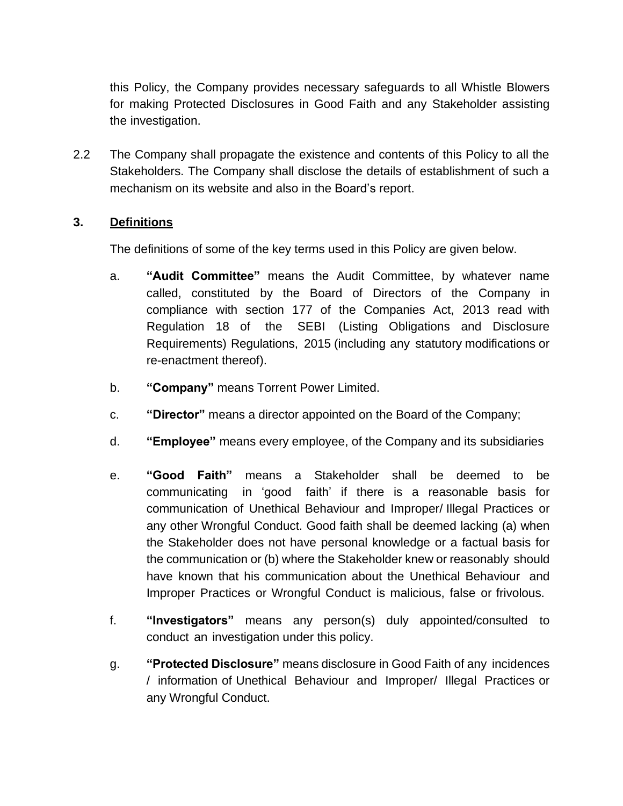this Policy, the Company provides necessary safeguards to all Whistle Blowers for making Protected Disclosures in Good Faith and any Stakeholder assisting the investigation.

2.2 The Company shall propagate the existence and contents of this Policy to all the Stakeholders. The Company shall disclose the details of establishment of such a mechanism on its website and also in the Board's report.

## **3. Definitions**

The definitions of some of the key terms used in this Policy are given below.

- a. **"Audit Committee"** means the Audit Committee, by whatever name called, constituted by the Board of Directors of the Company in compliance with section 177 of the Companies Act, 2013 read with Regulation 18 of the SEBI (Listing Obligations and Disclosure Requirements) Regulations, 2015 (including any statutory modifications or re-enactment thereof).
- b. **"Company"** means Torrent Power Limited.
- c. **"Director"** means a director appointed on the Board of the Company;
- d. **"Employee"** means every employee, of the Company and its subsidiaries
- e. **"Good Faith"** means a Stakeholder shall be deemed to be communicating in 'good faith' if there is a reasonable basis for communication of Unethical Behaviour and Improper/ Illegal Practices or any other Wrongful Conduct. Good faith shall be deemed lacking (a) when the Stakeholder does not have personal knowledge or a factual basis for the communication or (b) where the Stakeholder knew or reasonably should have known that his communication about the Unethical Behaviour and Improper Practices or Wrongful Conduct is malicious, false or frivolous.
- f. **"Investigators"** means any person(s) duly appointed/consulted to conduct an investigation under this policy.
- g. **"Protected Disclosure"** means disclosure in Good Faith of any incidences / information of Unethical Behaviour and Improper/ Illegal Practices or any Wrongful Conduct.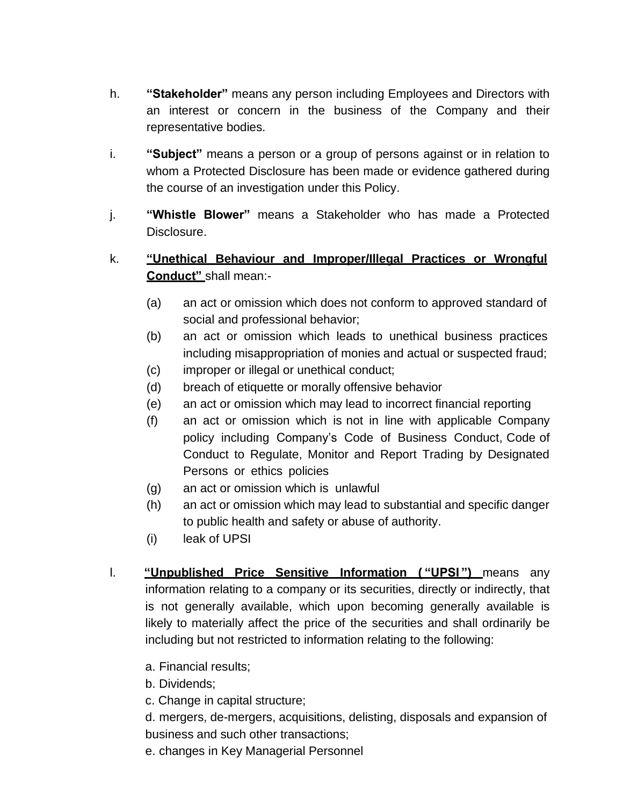- h. **"Stakeholder"** means any person including Employees and Directors with an interest or concern in the business of the Company and their representative bodies.
- i. **"Subject"** means a person or a group of persons against or in relation to whom a Protected Disclosure has been made or evidence gathered during the course of an investigation under this Policy.
- j. **"Whistle Blower"** means a Stakeholder who has made a Protected Disclosure.
- k. **"Unethical Behaviour and Improper/Illegal Practices or Wrongful Conduct"** shall mean:-
	- (a) an act or omission which does not conform to approved standard of social and professional behavior;
	- (b) an act or omission which leads to unethical business practices including misappropriation of monies and actual or suspected fraud;
	- (c) improper or illegal or unethical conduct;
	- (d) breach of etiquette or morally offensive behavior
	- (e) an act or omission which may lead to incorrect financial reporting
	- (f) an act or omission which is not in line with applicable Company policy including Company's Code of Business Conduct, Code of Conduct to Regulate, Monitor and Report Trading by Designated Persons or ethics policies
	- (g) an act or omission which is unlawful
	- (h) an act or omission which may lead to substantial and specific danger to public health and safety or abuse of authority.
	- (i) leak of UPSI
- l. **"Unpublished Price Sensitive Information ( "UPSI ")** means any information relating to a company or its securities, directly or indirectly, that is not generally available, which upon becoming generally available is likely to materially affect the price of the securities and shall ordinarily be including but not restricted to information relating to the following:
	- a. Financial results;
	- b. Dividends;
	- c. Change in capital structure;
	- d. mergers, de-mergers, acquisitions, delisting, disposals and expansion of business and such other transactions;
	- e. changes in Key Managerial Personnel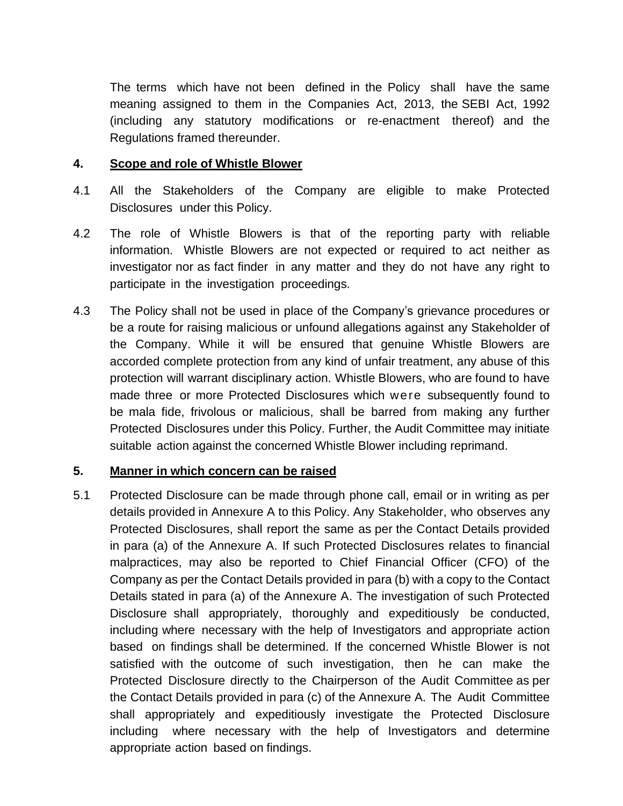The terms which have not been defined in the Policy shall have the same meaning assigned to them in the Companies Act, 2013, the SEBI Act, 1992 (including any statutory modifications or re-enactment thereof) and the Regulations framed thereunder.

#### **4. Scope and role of Whistle Blower**

- 4.1 All the Stakeholders of the Company are eligible to make Protected Disclosures under this Policy.
- 4.2 The role of Whistle Blowers is that of the reporting party with reliable information. Whistle Blowers are not expected or required to act neither as investigator nor as fact finder in any matter and they do not have any right to participate in the investigation proceedings.
- 4.3 The Policy shall not be used in place of the Company's grievance procedures or be a route for raising malicious or unfound allegations against any Stakeholder of the Company. While it will be ensured that genuine Whistle Blowers are accorded complete protection from any kind of unfair treatment, any abuse of this protection will warrant disciplinary action. Whistle Blowers, who are found to have made three or more Protected Disclosures which were subsequently found to be mala fide, frivolous or malicious, shall be barred from making any further Protected Disclosures under this Policy. Further, the Audit Committee may initiate suitable action against the concerned Whistle Blower including reprimand.

## **5. Manner in which concern can be raised**

5.1 Protected Disclosure can be made through phone call, email or in writing as per details provided in Annexure A to this Policy. Any Stakeholder, who observes any Protected Disclosures, shall report the same as per the Contact Details provided in para (a) of the Annexure A. If such Protected Disclosures relates to financial malpractices, may also be reported to Chief Financial Officer (CFO) of the Company as per the Contact Details provided in para (b) with a copy to the Contact Details stated in para (a) of the Annexure A. The investigation of such Protected Disclosure shall appropriately, thoroughly and expeditiously be conducted, including where necessary with the help of Investigators and appropriate action based on findings shall be determined. If the concerned Whistle Blower is not satisfied with the outcome of such investigation, then he can make the Protected Disclosure directly to the Chairperson of the Audit Committee as per the Contact Details provided in para (c) of the Annexure A. The Audit Committee shall appropriately and expeditiously investigate the Protected Disclosure including where necessary with the help of Investigators and determine appropriate action based on findings.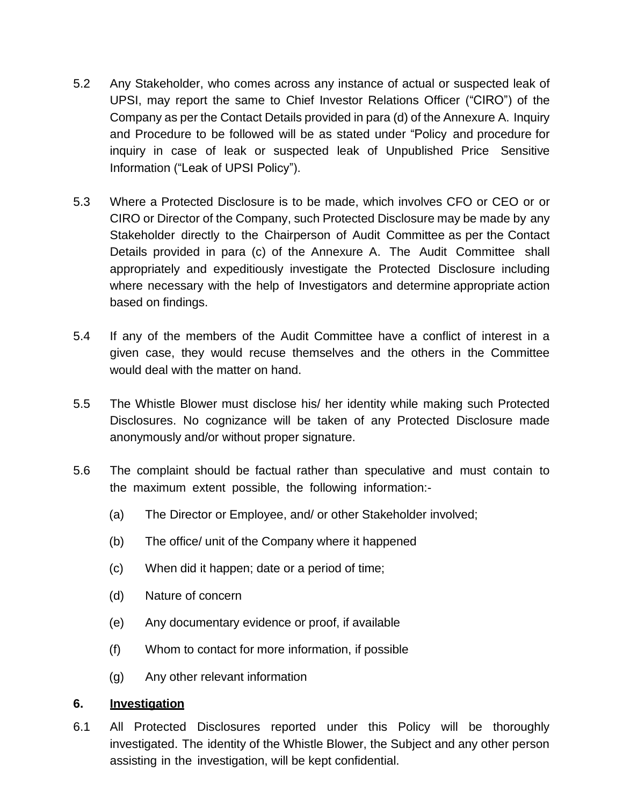- 5.2 Any Stakeholder, who comes across any instance of actual or suspected leak of UPSI, may report the same to Chief Investor Relations Officer ("CIRO") of the Company as per the Contact Details provided in para (d) of the Annexure A. Inquiry and Procedure to be followed will be as stated under "Policy and procedure for inquiry in case of leak or suspected leak of Unpublished Price Sensitive Information ("Leak of UPSI Policy").
- 5.3 Where a Protected Disclosure is to be made, which involves CFO or CEO or or CIRO or Director of the Company, such Protected Disclosure may be made by any Stakeholder directly to the Chairperson of Audit Committee as per the Contact Details provided in para (c) of the Annexure A. The Audit Committee shall appropriately and expeditiously investigate the Protected Disclosure including where necessary with the help of Investigators and determine appropriate action based on findings.
- 5.4 If any of the members of the Audit Committee have a conflict of interest in a given case, they would recuse themselves and the others in the Committee would deal with the matter on hand.
- 5.5 The Whistle Blower must disclose his/ her identity while making such Protected Disclosures. No cognizance will be taken of any Protected Disclosure made anonymously and/or without proper signature.
- 5.6 The complaint should be factual rather than speculative and must contain to the maximum extent possible, the following information:-
	- (a) The Director or Employee, and/ or other Stakeholder involved;
	- (b) The office/ unit of the Company where it happened
	- (c) When did it happen; date or a period of time;
	- (d) Nature of concern
	- (e) Any documentary evidence or proof, if available
	- (f) Whom to contact for more information, if possible
	- (g) Any other relevant information

#### **6. Investigation**

6.1 All Protected Disclosures reported under this Policy will be thoroughly investigated. The identity of the Whistle Blower, the Subject and any other person assisting in the investigation, will be kept confidential.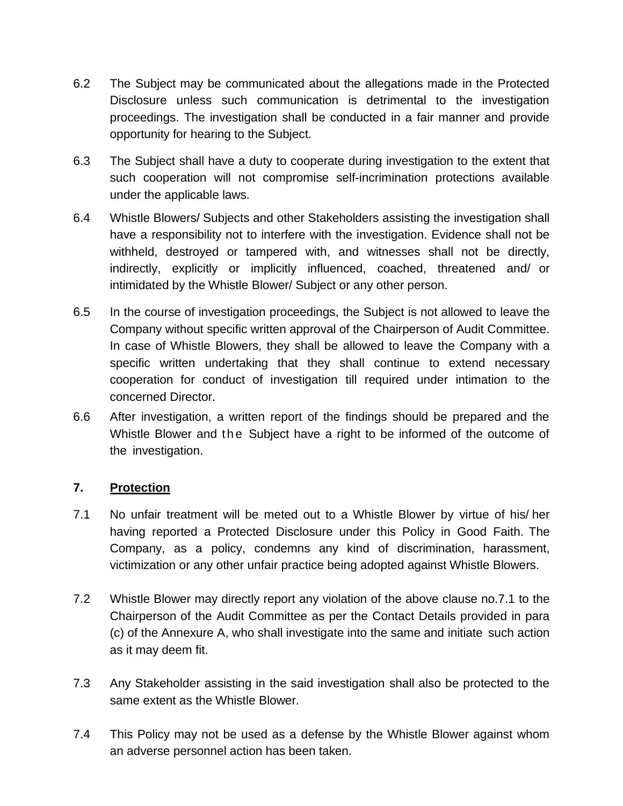- 6.2 The Subject may be communicated about the allegations made in the Protected Disclosure unless such communication is detrimental to the investigation proceedings. The investigation shall be conducted in a fair manner and provide opportunity for hearing to the Subject.
- 6.3 The Subject shall have a duty to cooperate during investigation to the extent that such cooperation will not compromise self-incrimination protections available under the applicable laws.
- 6.4 Whistle Blowers/ Subjects and other Stakeholders assisting the investigation shall have a responsibility not to interfere with the investigation. Evidence shall not be withheld, destroyed or tampered with, and witnesses shall not be directly, indirectly, explicitly or implicitly influenced, coached, threatened and/ or intimidated by the Whistle Blower/ Subject or any other person.
- 6.5 In the course of investigation proceedings, the Subject is not allowed to leave the Company without specific written approval of the Chairperson of Audit Committee. In case of Whistle Blowers, they shall be allowed to leave the Company with a specific written undertaking that they shall continue to extend necessary cooperation for conduct of investigation till required under intimation to the concerned Director.
- 6.6 After investigation, a written report of the findings should be prepared and the Whistle Blower and the Subject have a right to be informed of the outcome of the investigation.

## **7. Protection**

- 7.1 No unfair treatment will be meted out to a Whistle Blower by virtue of his/ her having reported a Protected Disclosure under this Policy in Good Faith. The Company, as a policy, condemns any kind of discrimination, harassment, victimization or any other unfair practice being adopted against Whistle Blowers.
- 7.2 Whistle Blower may directly report any violation of the above clause no.7.1 to the Chairperson of the Audit Committee as per the Contact Details provided in para (c) of the Annexure A, who shall investigate into the same and initiate such action as it may deem fit.
- 7.3 Any Stakeholder assisting in the said investigation shall also be protected to the same extent as the Whistle Blower.
- 7.4 This Policy may not be used as a defense by the Whistle Blower against whom an adverse personnel action has been taken.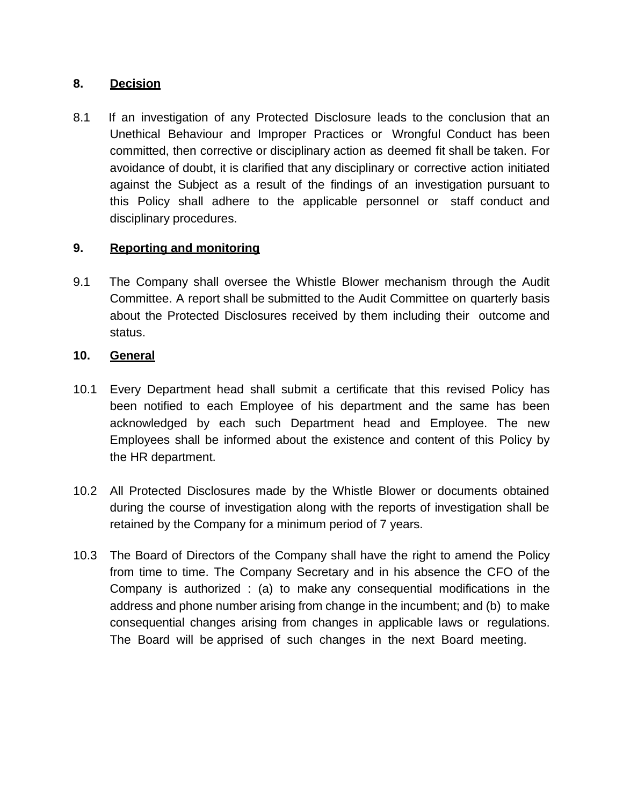## **8. Decision**

8.1 If an investigation of any Protected Disclosure leads to the conclusion that an Unethical Behaviour and Improper Practices or Wrongful Conduct has been committed, then corrective or disciplinary action as deemed fit shall be taken. For avoidance of doubt, it is clarified that any disciplinary or corrective action initiated against the Subject as a result of the findings of an investigation pursuant to this Policy shall adhere to the applicable personnel or staff conduct and disciplinary procedures.

## **9. Reporting and monitoring**

9.1 The Company shall oversee the Whistle Blower mechanism through the Audit Committee. A report shall be submitted to the Audit Committee on quarterly basis about the Protected Disclosures received by them including their outcome and status.

#### **10. General**

- 10.1 Every Department head shall submit a certificate that this revised Policy has been notified to each Employee of his department and the same has been acknowledged by each such Department head and Employee. The new Employees shall be informed about the existence and content of this Policy by the HR department.
- 10.2 All Protected Disclosures made by the Whistle Blower or documents obtained during the course of investigation along with the reports of investigation shall be retained by the Company for a minimum period of 7 years.
- 10.3 The Board of Directors of the Company shall have the right to amend the Policy from time to time. The Company Secretary and in his absence the CFO of the Company is authorized : (a) to make any consequential modifications in the address and phone number arising from change in the incumbent; and (b) to make consequential changes arising from changes in applicable laws or regulations. The Board will be apprised of such changes in the next Board meeting.